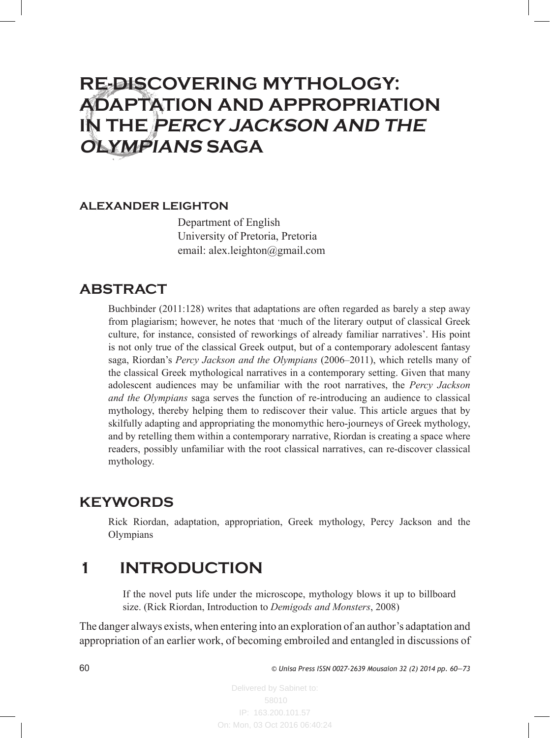# **RE-DISCOVERING MYTHOLOGY: ADAPTATION AND APPROPRIATION IN THE PERCY JACKSON AND THE OLYMPIANS SAGA**

#### **ALEXANDER LEIGHTON**

Department of English University of Pretoria, Pretoria email: alex.leighton@gmail.com

### **ABSTRACT**

Buchbinder (2011:128) writes that adaptations are often regarded as barely a step away from plagiarism; however, he notes that 'much of the literary output of classical Greek culture, for instance, consisted of reworkings of already familiar narratives'. His point is not only true of the classical Greek output, but of a contemporary adolescent fantasy saga, Riordan's *Percy Jackson and the Olympians* (2006–2011), which retells many of the classical Greek mythological narratives in a contemporary setting. Given that many adolescent audiences may be unfamiliar with the root narratives, the *Percy Jackson and the Olympians* saga serves the function of re-introducing an audience to classical mythology, thereby helping them to rediscover their value. This article argues that by skilfully adapting and appropriating the monomythic hero-journeys of Greek mythology, and by retelling them within a contemporary narrative, Riordan is creating a space where readers, possibly unfamiliar with the root classical narratives, can re-discover classical mythology.

### **KEYWORDS**

Rick Riordan, adaptation, appropriation, Greek mythology, Percy Jackson and the Olympians

## **1 INTRODUCTION**

If the novel puts life under the microscope, mythology blows it up to billboard size. (Rick Riordan, Introduction to *Demigods and Monsters*, 2008)

The danger always exists, when entering into an exploration of an author's adaptation and appropriation of an earlier work, of becoming embroiled and entangled in discussions of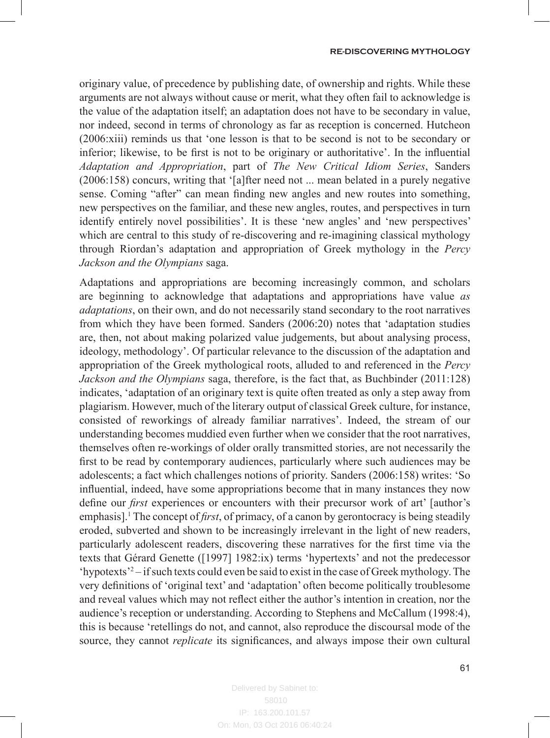originary value, of precedence by publishing date, of ownership and rights. While these arguments are not always without cause or merit, what they often fail to acknowledge is the value of the adaptation itself; an adaptation does not have to be secondary in value, nor indeed, second in terms of chronology as far as reception is concerned. Hutcheon (2006:xiii) reminds us that 'one lesson is that to be second is not to be secondary or inferior; likewise, to be first is not to be originary or authoritative'. In the influential *Adaptation and Appropriation*, part of *The New Critical Idiom Series*, Sanders (2006:158) concurs, writing that '[a]fter need not ... mean belated in a purely negative sense. Coming "after" can mean finding new angles and new routes into something, new perspectives on the familiar, and these new angles, routes, and perspectives in turn identify entirely novel possibilities'. It is these 'new angles' and 'new perspectives' which are central to this study of re-discovering and re-imagining classical mythology through Riordan's adaptation and appropriation of Greek mythology in the *Percy Jackson and the Olympians* saga.

Adaptations and appropriations are becoming increasingly common, and scholars are beginning to acknowledge that adaptations and appropriations have value *as adaptations*, on their own, and do not necessarily stand secondary to the root narratives from which they have been formed. Sanders (2006:20) notes that 'adaptation studies are, then, not about making polarized value judgements, but about analysing process, ideology, methodology'. Of particular relevance to the discussion of the adaptation and appropriation of the Greek mythological roots, alluded to and referenced in the *Percy Jackson and the Olympians* saga, therefore, is the fact that, as Buchbinder (2011:128) indicates, 'adaptation of an originary text is quite often treated as only a step away from plagiarism. However, much of the literary output of classical Greek culture, for instance, consisted of reworkings of already familiar narratives'. Indeed, the stream of our understanding becomes muddied even further when we consider that the root narratives, themselves often re-workings of older orally transmitted stories, are not necessarily the first to be read by contemporary audiences, particularly where such audiences may be adolescents; a fact which challenges notions of priority. Sanders (2006:158) writes: 'So influential, indeed, have some appropriations become that in many instances they now define our *first* experiences or encounters with their precursor work of art' [author's emphasis].<sup>1</sup> The concept of *first*, of primacy, of a canon by gerontocracy is being steadily eroded, subverted and shown to be increasingly irrelevant in the light of new readers, particularly adolescent readers, discovering these narratives for the first time via the texts that Gérard Genette ([1997] 1982:ix) terms 'hypertexts' and not the predecessor 'hypotexts'2 – if such texts could even be said to exist in the case of Greek mythology. The very definitions of 'original text' and 'adaptation' often become politically troublesome and reveal values which may not reflect either the author's intention in creation, nor the audience's reception or understanding. According to Stephens and McCallum (1998:4), this is because 'retellings do not, and cannot, also reproduce the discoursal mode of the source, they cannot *replicate* its significances, and always impose their own cultural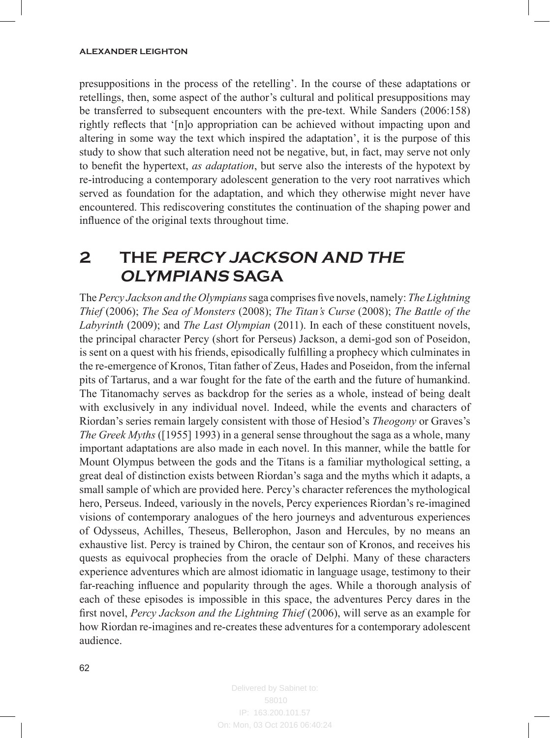presuppositions in the process of the retelling'. In the course of these adaptations or retellings, then, some aspect of the author's cultural and political presuppositions may be transferred to subsequent encounters with the pre-text. While Sanders (2006:158) rightly reflects that '[n]o appropriation can be achieved without impacting upon and altering in some way the text which inspired the adaptation', it is the purpose of this study to show that such alteration need not be negative, but, in fact, may serve not only to benefit the hypertext, *as adaptation*, but serve also the interests of the hypotext by re-introducing a contemporary adolescent generation to the very root narratives which served as foundation for the adaptation, and which they otherwise might never have encountered. This rediscovering constitutes the continuation of the shaping power and influence of the original texts throughout time.

# **2 THE PERCY JACKSON AND THE OLYMPIANS SAGA**

The *Percy Jackson and the Olympians* saga comprises five novels, namely: *The Lightning Thief* (2006); *The Sea of Monsters* (2008); *The Titan's Curse* (2008); *The Battle of the Labyrinth* (2009); and *The Last Olympian* (2011). In each of these constituent novels, the principal character Percy (short for Perseus) Jackson, a demi-god son of Poseidon, is sent on a quest with his friends, episodically fulfilling a prophecy which culminates in the re-emergence of Kronos, Titan father of Zeus, Hades and Poseidon, from the infernal pits of Tartarus, and a war fought for the fate of the earth and the future of humankind. The Titanomachy serves as backdrop for the series as a whole, instead of being dealt with exclusively in any individual novel. Indeed, while the events and characters of Riordan's series remain largely consistent with those of Hesiod's *Theogony* or Graves's *The Greek Myths* ([1955] 1993) in a general sense throughout the saga as a whole, many important adaptations are also made in each novel. In this manner, while the battle for Mount Olympus between the gods and the Titans is a familiar mythological setting, a great deal of distinction exists between Riordan's saga and the myths which it adapts, a small sample of which are provided here. Percy's character references the mythological hero, Perseus. Indeed, variously in the novels, Percy experiences Riordan's re-imagined visions of contemporary analogues of the hero journeys and adventurous experiences of Odysseus, Achilles, Theseus, Bellerophon, Jason and Hercules, by no means an exhaustive list. Percy is trained by Chiron, the centaur son of Kronos, and receives his quests as equivocal prophecies from the oracle of Delphi. Many of these characters experience adventures which are almost idiomatic in language usage, testimony to their far-reaching influence and popularity through the ages. While a thorough analysis of each of these episodes is impossible in this space, the adventures Percy dares in the first novel, *Percy Jackson and the Lightning Thief* (2006), will serve as an example for how Riordan re-imagines and re-creates these adventures for a contemporary adolescent audience.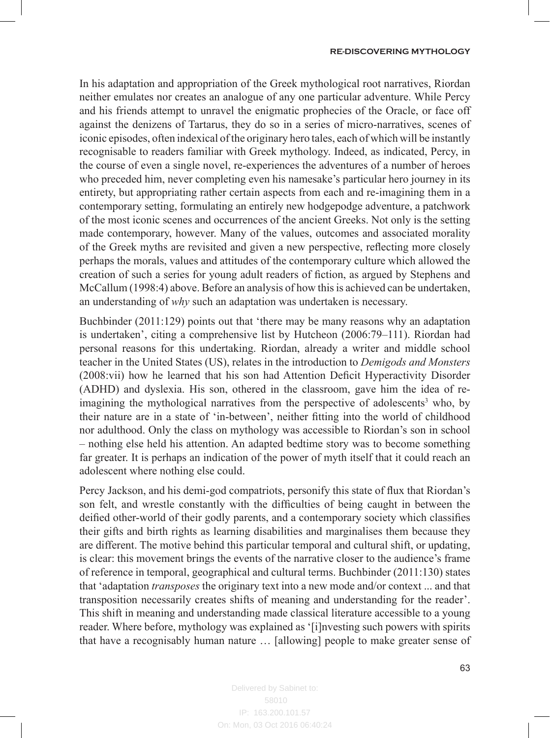In his adaptation and appropriation of the Greek mythological root narratives, Riordan neither emulates nor creates an analogue of any one particular adventure. While Percy and his friends attempt to unravel the enigmatic prophecies of the Oracle, or face off against the denizens of Tartarus, they do so in a series of micro-narratives, scenes of iconic episodes, often indexical of the originary hero tales, each of which will be instantly recognisable to readers familiar with Greek mythology. Indeed, as indicated, Percy, in the course of even a single novel, re-experiences the adventures of a number of heroes who preceded him, never completing even his namesake's particular hero journey in its entirety, but appropriating rather certain aspects from each and re-imagining them in a contemporary setting, formulating an entirely new hodgepodge adventure, a patchwork of the most iconic scenes and occurrences of the ancient Greeks. Not only is the setting made contemporary, however. Many of the values, outcomes and associated morality of the Greek myths are revisited and given a new perspective, reflecting more closely perhaps the morals, values and attitudes of the contemporary culture which allowed the creation of such a series for young adult readers of fiction, as argued by Stephens and McCallum (1998:4) above. Before an analysis of how this is achieved can be undertaken, an understanding of *why* such an adaptation was undertaken is necessary.

Buchbinder (2011:129) points out that 'there may be many reasons why an adaptation is undertaken', citing a comprehensive list by Hutcheon (2006:79–111). Riordan had personal reasons for this undertaking. Riordan, already a writer and middle school teacher in the United States (US), relates in the introduction to *Demigods and Monsters* (2008:vii) how he learned that his son had Attention Deficit Hyperactivity Disorder (ADHD) and dyslexia. His son, othered in the classroom, gave him the idea of reimagining the mythological narratives from the perspective of adolescents<sup>3</sup> who, by their nature are in a state of 'in-between', neither fitting into the world of childhood nor adulthood. Only the class on mythology was accessible to Riordan's son in school – nothing else held his attention. An adapted bedtime story was to become something far greater. It is perhaps an indication of the power of myth itself that it could reach an adolescent where nothing else could.

Percy Jackson, and his demi-god compatriots, personify this state of flux that Riordan's son felt, and wrestle constantly with the difficulties of being caught in between the deified other-world of their godly parents, and a contemporary society which classifies their gifts and birth rights as learning disabilities and marginalises them because they are different. The motive behind this particular temporal and cultural shift, or updating, is clear: this movement brings the events of the narrative closer to the audience's frame of reference in temporal, geographical and cultural terms. Buchbinder (2011:130) states that 'adaptation *transposes* the originary text into a new mode and/or context ... and that transposition necessarily creates shifts of meaning and understanding for the reader'. This shift in meaning and understanding made classical literature accessible to a young reader. Where before, mythology was explained as '[i]nvesting such powers with spirits that have a recognisably human nature … [allowing] people to make greater sense of

IP: 163.200.101.57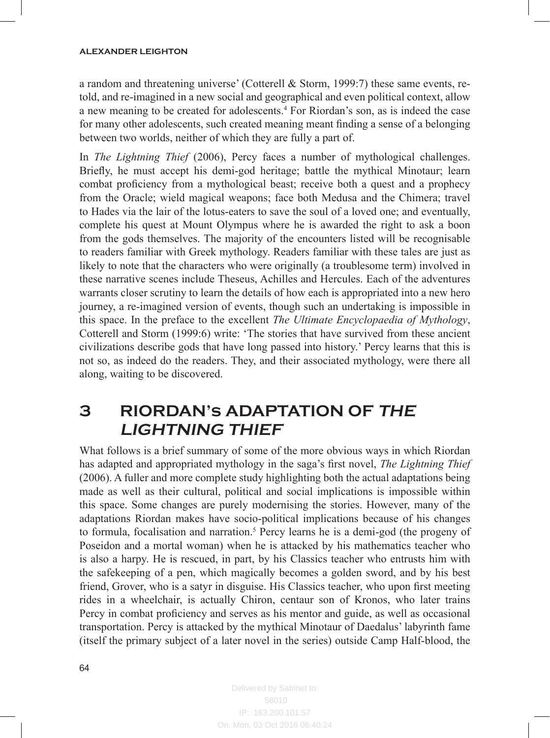a random and threatening universe' (Cotterell & Storm, 1999:7) these same events, retold, and re-imagined in a new social and geographical and even political context, allow a new meaning to be created for adolescents.<sup>4</sup> For Riordan's son, as is indeed the case for many other adolescents, such created meaning meant finding a sense of a belonging between two worlds, neither of which they are fully a part of.

In *The Lightning Thief* (2006), Percy faces a number of mythological challenges. Briefly, he must accept his demi-god heritage; battle the mythical Minotaur; learn combat proficiency from a mythological beast; receive both a quest and a prophecy from the Oracle; wield magical weapons; face both Medusa and the Chimera; travel to Hades via the lair of the lotus-eaters to save the soul of a loved one; and eventually, complete his quest at Mount Olympus where he is awarded the right to ask a boon from the gods themselves. The majority of the encounters listed will be recognisable to readers familiar with Greek mythology. Readers familiar with these tales are just as likely to note that the characters who were originally (a troublesome term) involved in these narrative scenes include Theseus, Achilles and Hercules. Each of the adventures warrants closer scrutiny to learn the details of how each is appropriated into a new hero journey, a re-imagined version of events, though such an undertaking is impossible in this space. In the preface to the excellent *The Ultimate Encyclopaedia of Mythology*, Cotterell and Storm (1999:6) write: 'The stories that have survived from these ancient civilizations describe gods that have long passed into history.' Percy learns that this is not so, as indeed do the readers. They, and their associated mythology, were there all along, waiting to be discovered.

## **3 RIORDAN's ADAPTATION OF THE LIGHTNING THIEF**

What follows is a brief summary of some of the more obvious ways in which Riordan has adapted and appropriated mythology in the saga's first novel, *The Lightning Thief*  (2006). A fuller and more complete study highlighting both the actual adaptations being made as well as their cultural, political and social implications is impossible within this space. Some changes are purely modernising the stories. However, many of the adaptations Riordan makes have socio-political implications because of his changes to formula, focalisation and narration.<sup>5</sup> Percy learns he is a demi-god (the progeny of Poseidon and a mortal woman) when he is attacked by his mathematics teacher who is also a harpy. He is rescued, in part, by his Classics teacher who entrusts him with the safekeeping of a pen, which magically becomes a golden sword, and by his best friend, Grover, who is a satyr in disguise. His Classics teacher, who upon first meeting rides in a wheelchair, is actually Chiron, centaur son of Kronos, who later trains Percy in combat proficiency and serves as his mentor and guide, as well as occasional transportation. Percy is attacked by the mythical Minotaur of Daedalus' labyrinth fame (itself the primary subject of a later novel in the series) outside Camp Half-blood, the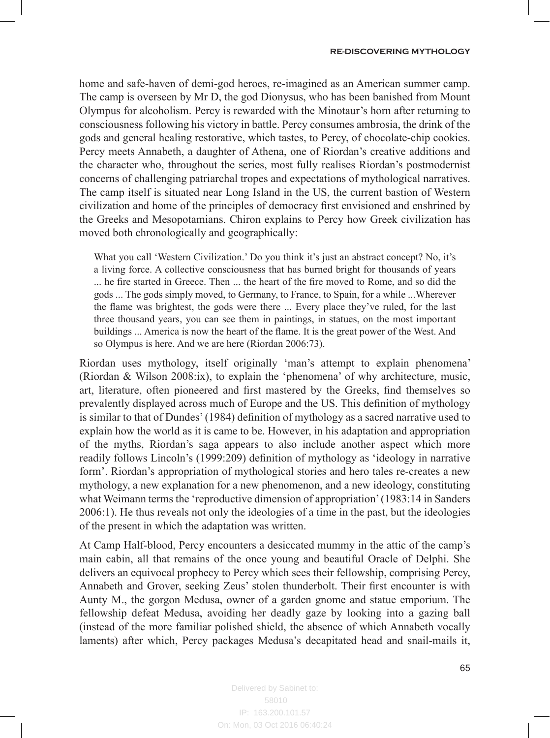home and safe-haven of demi-god heroes, re-imagined as an American summer camp. The camp is overseen by Mr D, the god Dionysus, who has been banished from Mount Olympus for alcoholism. Percy is rewarded with the Minotaur's horn after returning to consciousness following his victory in battle. Percy consumes ambrosia, the drink of the gods and general healing restorative, which tastes, to Percy, of chocolate-chip cookies. Percy meets Annabeth, a daughter of Athena, one of Riordan's creative additions and the character who, throughout the series, most fully realises Riordan's postmodernist concerns of challenging patriarchal tropes and expectations of mythological narratives. The camp itself is situated near Long Island in the US, the current bastion of Western civilization and home of the principles of democracy first envisioned and enshrined by the Greeks and Mesopotamians. Chiron explains to Percy how Greek civilization has moved both chronologically and geographically:

What you call 'Western Civilization.' Do you think it's just an abstract concept? No, it's a living force. A collective consciousness that has burned bright for thousands of years ... he fire started in Greece. Then ... the heart of the fire moved to Rome, and so did the gods ... The gods simply moved, to Germany, to France, to Spain, for a while ...Wherever the flame was brightest, the gods were there ... Every place they've ruled, for the last three thousand years, you can see them in paintings, in statues, on the most important buildings ... America is now the heart of the flame. It is the great power of the West. And so Olympus is here. And we are here (Riordan 2006:73).

Riordan uses mythology, itself originally 'man's attempt to explain phenomena' (Riordan & Wilson 2008:ix), to explain the 'phenomena' of why architecture, music, art, literature, often pioneered and first mastered by the Greeks, find themselves so prevalently displayed across much of Europe and the US. This definition of mythology is similar to that of Dundes' (1984) definition of mythology as a sacred narrative used to explain how the world as it is came to be. However, in his adaptation and appropriation of the myths, Riordan's saga appears to also include another aspect which more readily follows Lincoln's (1999:209) definition of mythology as 'ideology in narrative form'. Riordan's appropriation of mythological stories and hero tales re-creates a new mythology, a new explanation for a new phenomenon, and a new ideology, constituting what Weimann terms the 'reproductive dimension of appropriation' (1983:14 in Sanders 2006:1). He thus reveals not only the ideologies of a time in the past, but the ideologies of the present in which the adaptation was written.

At Camp Half-blood, Percy encounters a desiccated mummy in the attic of the camp's main cabin, all that remains of the once young and beautiful Oracle of Delphi. She delivers an equivocal prophecy to Percy which sees their fellowship, comprising Percy, Annabeth and Grover, seeking Zeus' stolen thunderbolt. Their first encounter is with Aunty M., the gorgon Medusa, owner of a garden gnome and statue emporium. The fellowship defeat Medusa, avoiding her deadly gaze by looking into a gazing ball (instead of the more familiar polished shield, the absence of which Annabeth vocally laments) after which, Percy packages Medusa's decapitated head and snail-mails it,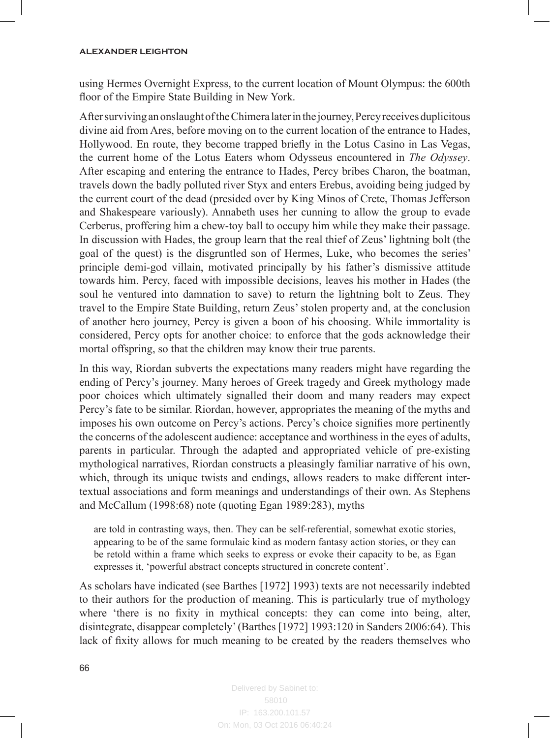#### **ALEXANDER LEIGHTON**

using Hermes Overnight Express, to the current location of Mount Olympus: the 600th floor of the Empire State Building in New York.

After surviving an onslaught of the Chimera later in the journey, Percy receives duplicitous divine aid from Ares, before moving on to the current location of the entrance to Hades, Hollywood. En route, they become trapped briefly in the Lotus Casino in Las Vegas, the current home of the Lotus Eaters whom Odysseus encountered in *The Odyssey*. After escaping and entering the entrance to Hades, Percy bribes Charon, the boatman, travels down the badly polluted river Styx and enters Erebus, avoiding being judged by the current court of the dead (presided over by King Minos of Crete, Thomas Jefferson and Shakespeare variously). Annabeth uses her cunning to allow the group to evade Cerberus, proffering him a chew-toy ball to occupy him while they make their passage. In discussion with Hades, the group learn that the real thief of Zeus' lightning bolt (the goal of the quest) is the disgruntled son of Hermes, Luke, who becomes the series' principle demi-god villain, motivated principally by his father's dismissive attitude towards him. Percy, faced with impossible decisions, leaves his mother in Hades (the soul he ventured into damnation to save) to return the lightning bolt to Zeus. They travel to the Empire State Building, return Zeus' stolen property and, at the conclusion of another hero journey, Percy is given a boon of his choosing. While immortality is considered, Percy opts for another choice: to enforce that the gods acknowledge their mortal offspring, so that the children may know their true parents.

In this way, Riordan subverts the expectations many readers might have regarding the ending of Percy's journey. Many heroes of Greek tragedy and Greek mythology made poor choices which ultimately signalled their doom and many readers may expect Percy's fate to be similar. Riordan, however, appropriates the meaning of the myths and imposes his own outcome on Percy's actions. Percy's choice signifies more pertinently the concerns of the adolescent audience: acceptance and worthiness in the eyes of adults, parents in particular. Through the adapted and appropriated vehicle of pre-existing mythological narratives, Riordan constructs a pleasingly familiar narrative of his own, which, through its unique twists and endings, allows readers to make different intertextual associations and form meanings and understandings of their own. As Stephens and McCallum (1998:68) note (quoting Egan 1989:283), myths

are told in contrasting ways, then. They can be self-referential, somewhat exotic stories, appearing to be of the same formulaic kind as modern fantasy action stories, or they can be retold within a frame which seeks to express or evoke their capacity to be, as Egan expresses it, 'powerful abstract concepts structured in concrete content'.

As scholars have indicated (see Barthes [1972] 1993) texts are not necessarily indebted to their authors for the production of meaning. This is particularly true of mythology where 'there is no fixity in mythical concepts: they can come into being, alter, disintegrate, disappear completely' (Barthes [1972] 1993:120 in Sanders 2006:64). This lack of fixity allows for much meaning to be created by the readers themselves who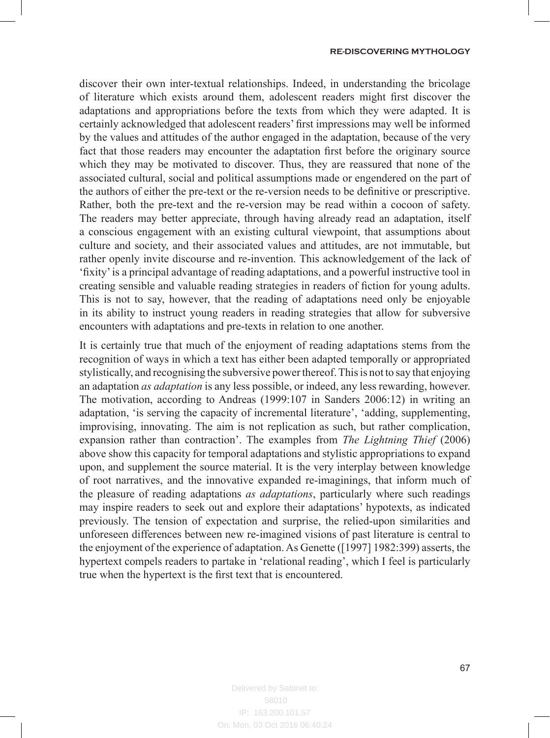discover their own inter-textual relationships. Indeed, in understanding the bricolage of literature which exists around them, adolescent readers might first discover the adaptations and appropriations before the texts from which they were adapted. It is certainly acknowledged that adolescent readers' first impressions may well be informed by the values and attitudes of the author engaged in the adaptation, because of the very fact that those readers may encounter the adaptation first before the originary source which they may be motivated to discover. Thus, they are reassured that none of the associated cultural, social and political assumptions made or engendered on the part of the authors of either the pre-text or the re-version needs to be definitive or prescriptive. Rather, both the pre-text and the re-version may be read within a cocoon of safety. The readers may better appreciate, through having already read an adaptation, itself a conscious engagement with an existing cultural viewpoint, that assumptions about culture and society, and their associated values and attitudes, are not immutable, but rather openly invite discourse and re-invention. This acknowledgement of the lack of 'fixity' is a principal advantage of reading adaptations, and a powerful instructive tool in creating sensible and valuable reading strategies in readers of fiction for young adults. This is not to say, however, that the reading of adaptations need only be enjoyable in its ability to instruct young readers in reading strategies that allow for subversive encounters with adaptations and pre-texts in relation to one another.

It is certainly true that much of the enjoyment of reading adaptations stems from the recognition of ways in which a text has either been adapted temporally or appropriated stylistically, and recognising the subversive power thereof. This is not to say that enjoying an adaptation *as adaptation* is any less possible, or indeed, any less rewarding, however. The motivation, according to Andreas (1999:107 in Sanders 2006:12) in writing an adaptation, 'is serving the capacity of incremental literature', 'adding, supplementing, improvising, innovating. The aim is not replication as such, but rather complication, expansion rather than contraction'. The examples from *The Lightning Thief* (2006) above show this capacity for temporal adaptations and stylistic appropriations to expand upon, and supplement the source material. It is the very interplay between knowledge of root narratives, and the innovative expanded re-imaginings, that inform much of the pleasure of reading adaptations *as adaptations*, particularly where such readings may inspire readers to seek out and explore their adaptations' hypotexts, as indicated previously. The tension of expectation and surprise, the relied-upon similarities and unforeseen differences between new re-imagined visions of past literature is central to the enjoyment of the experience of adaptation. As Genette ([1997] 1982:399) asserts, the hypertext compels readers to partake in 'relational reading', which I feel is particularly true when the hypertext is the first text that is encountered.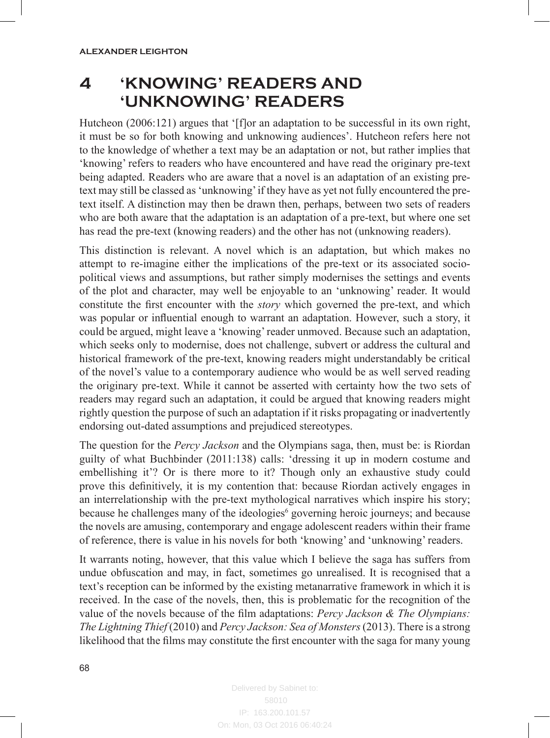# **4 'KNOWING' READERS AND 'UNKNOWING' READERS**

Hutcheon (2006:121) argues that '[f]or an adaptation to be successful in its own right, it must be so for both knowing and unknowing audiences'. Hutcheon refers here not to the knowledge of whether a text may be an adaptation or not, but rather implies that 'knowing' refers to readers who have encountered and have read the originary pre-text being adapted. Readers who are aware that a novel is an adaptation of an existing pretext may still be classed as 'unknowing' if they have as yet not fully encountered the pretext itself. A distinction may then be drawn then, perhaps, between two sets of readers who are both aware that the adaptation is an adaptation of a pre-text, but where one set has read the pre-text (knowing readers) and the other has not (unknowing readers).

This distinction is relevant. A novel which is an adaptation, but which makes no attempt to re-imagine either the implications of the pre-text or its associated sociopolitical views and assumptions, but rather simply modernises the settings and events of the plot and character, may well be enjoyable to an 'unknowing' reader. It would constitute the first encounter with the *story* which governed the pre-text, and which was popular or influential enough to warrant an adaptation. However, such a story, it could be argued, might leave a 'knowing' reader unmoved. Because such an adaptation, which seeks only to modernise, does not challenge, subvert or address the cultural and historical framework of the pre-text, knowing readers might understandably be critical of the novel's value to a contemporary audience who would be as well served reading the originary pre-text. While it cannot be asserted with certainty how the two sets of readers may regard such an adaptation, it could be argued that knowing readers might rightly question the purpose of such an adaptation if it risks propagating or inadvertently endorsing out-dated assumptions and prejudiced stereotypes.

The question for the *Percy Jackson* and the Olympians saga, then, must be: is Riordan guilty of what Buchbinder (2011:138) calls: 'dressing it up in modern costume and embellishing it'? Or is there more to it? Though only an exhaustive study could prove this definitively, it is my contention that: because Riordan actively engages in an interrelationship with the pre-text mythological narratives which inspire his story; because he challenges many of the ideologies<sup>6</sup> governing heroic journeys; and because the novels are amusing, contemporary and engage adolescent readers within their frame of reference, there is value in his novels for both 'knowing' and 'unknowing' readers.

It warrants noting, however, that this value which I believe the saga has suffers from undue obfuscation and may, in fact, sometimes go unrealised. It is recognised that a text's reception can be informed by the existing metanarrative framework in which it is received. In the case of the novels, then, this is problematic for the recognition of the value of the novels because of the film adaptations: *Percy Jackson & The Olympians: The Lightning Thief* (2010) and *Percy Jackson: Sea of Monsters* (2013). There is a strong likelihood that the films may constitute the first encounter with the saga for many young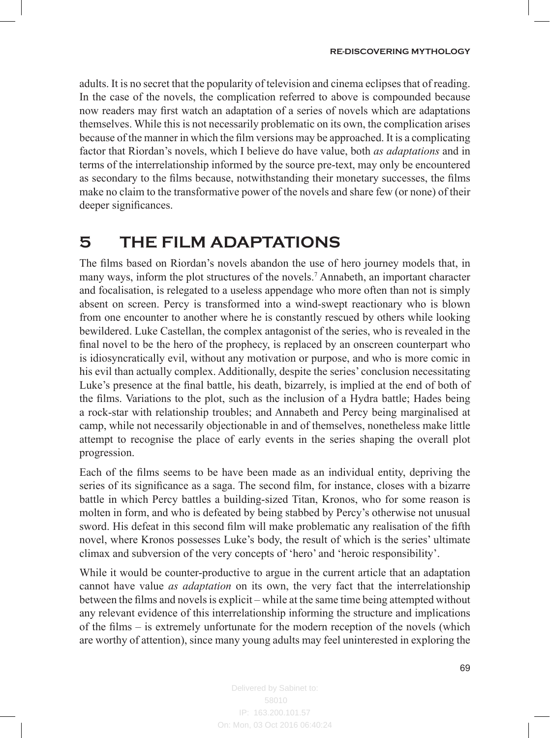adults. It is no secret that the popularity of television and cinema eclipses that of reading. In the case of the novels, the complication referred to above is compounded because now readers may first watch an adaptation of a series of novels which are adaptations themselves. While this is not necessarily problematic on its own, the complication arises because of the manner in which the film versions may be approached. It is a complicating factor that Riordan's novels, which I believe do have value, both *as adaptations* and in terms of the interrelationship informed by the source pre-text, may only be encountered as secondary to the films because, notwithstanding their monetary successes, the films make no claim to the transformative power of the novels and share few (or none) of their deeper significances.

## **5 THE FILM ADAPTATIONS**

The films based on Riordan's novels abandon the use of hero journey models that, in many ways, inform the plot structures of the novels.<sup>7</sup> Annabeth, an important character and focalisation, is relegated to a useless appendage who more often than not is simply absent on screen. Percy is transformed into a wind-swept reactionary who is blown from one encounter to another where he is constantly rescued by others while looking bewildered. Luke Castellan, the complex antagonist of the series, who is revealed in the final novel to be the hero of the prophecy, is replaced by an onscreen counterpart who is idiosyncratically evil, without any motivation or purpose, and who is more comic in his evil than actually complex. Additionally, despite the series' conclusion necessitating Luke's presence at the final battle, his death, bizarrely, is implied at the end of both of the films. Variations to the plot, such as the inclusion of a Hydra battle; Hades being a rock-star with relationship troubles; and Annabeth and Percy being marginalised at camp, while not necessarily objectionable in and of themselves, nonetheless make little attempt to recognise the place of early events in the series shaping the overall plot progression.

Each of the films seems to be have been made as an individual entity, depriving the series of its significance as a saga. The second film, for instance, closes with a bizarre battle in which Percy battles a building-sized Titan, Kronos, who for some reason is molten in form, and who is defeated by being stabbed by Percy's otherwise not unusual sword. His defeat in this second film will make problematic any realisation of the fifth novel, where Kronos possesses Luke's body, the result of which is the series' ultimate climax and subversion of the very concepts of 'hero' and 'heroic responsibility'.

While it would be counter-productive to argue in the current article that an adaptation cannot have value *as adaptation* on its own, the very fact that the interrelationship between the films and novels is explicit – while at the same time being attempted without any relevant evidence of this interrelationship informing the structure and implications of the films – is extremely unfortunate for the modern reception of the novels (which are worthy of attention), since many young adults may feel uninterested in exploring the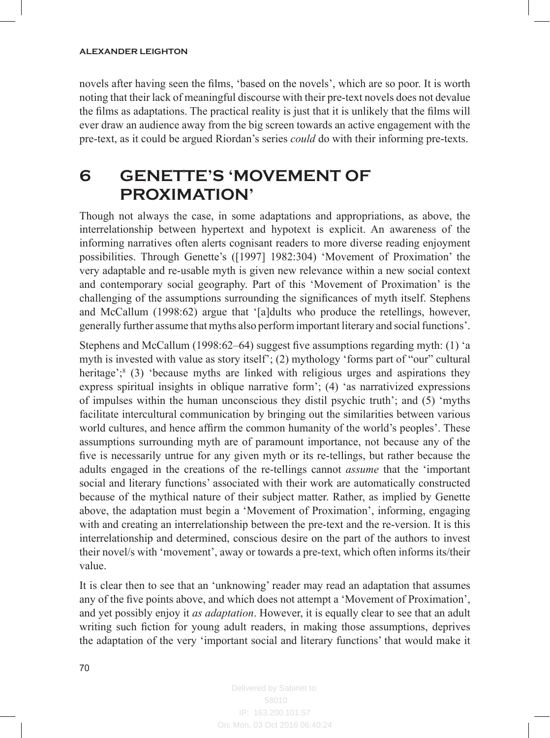#### **ALEXANDER LEIGHTON**

novels after having seen the films, 'based on the novels', which are so poor. It is worth noting that their lack of meaningful discourse with their pre-text novels does not devalue the films as adaptations. The practical reality is just that it is unlikely that the films will ever draw an audience away from the big screen towards an active engagement with the pre-text, as it could be argued Riordan's series *could* do with their informing pre-texts.

# **6 GENETTE'S 'MOVEMENT OF PROXIMATION'**

Though not always the case, in some adaptations and appropriations, as above, the interrelationship between hypertext and hypotext is explicit. An awareness of the informing narratives often alerts cognisant readers to more diverse reading enjoyment possibilities. Through Genette's ([1997] 1982:304) 'Movement of Proximation' the very adaptable and re-usable myth is given new relevance within a new social context and contemporary social geography. Part of this 'Movement of Proximation' is the challenging of the assumptions surrounding the significances of myth itself. Stephens and McCallum (1998:62) argue that '[a]dults who produce the retellings, however, generally further assume that myths also perform important literary and social functions'.

Stephens and McCallum (1998:62–64) suggest five assumptions regarding myth: (1) 'a myth is invested with value as story itself'; (2) mythology 'forms part of "our" cultural heritage';<sup>8</sup> (3) 'because myths are linked with religious urges and aspirations they express spiritual insights in oblique narrative form'; (4) 'as narrativized expressions of impulses within the human unconscious they distil psychic truth'; and (5) 'myths facilitate intercultural communication by bringing out the similarities between various world cultures, and hence affirm the common humanity of the world's peoples'. These assumptions surrounding myth are of paramount importance, not because any of the five is necessarily untrue for any given myth or its re-tellings, but rather because the adults engaged in the creations of the re-tellings cannot *assume* that the 'important social and literary functions' associated with their work are automatically constructed because of the mythical nature of their subject matter. Rather, as implied by Genette above, the adaptation must begin a 'Movement of Proximation', informing, engaging with and creating an interrelationship between the pre-text and the re-version. It is this interrelationship and determined, conscious desire on the part of the authors to invest their novel/s with 'movement', away or towards a pre-text, which often informs its/their value.

It is clear then to see that an 'unknowing' reader may read an adaptation that assumes any of the five points above, and which does not attempt a 'Movement of Proximation', and yet possibly enjoy it *as adaptation*. However, it is equally clear to see that an adult writing such fiction for young adult readers, in making those assumptions, deprives the adaptation of the very 'important social and literary functions' that would make it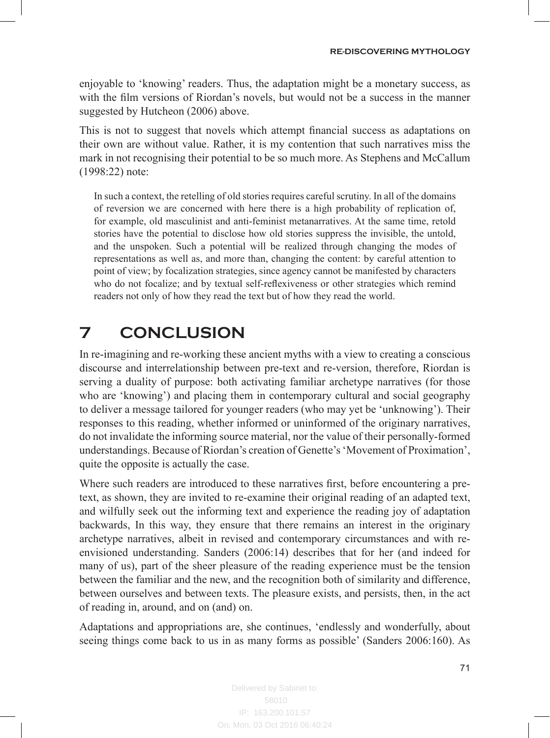enjoyable to 'knowing' readers. Thus, the adaptation might be a monetary success, as with the film versions of Riordan's novels, but would not be a success in the manner suggested by Hutcheon (2006) above.

This is not to suggest that novels which attempt financial success as adaptations on their own are without value. Rather, it is my contention that such narratives miss the mark in not recognising their potential to be so much more. As Stephens and McCallum (1998:22) note:

In such a context, the retelling of old stories requires careful scrutiny. In all of the domains of reversion we are concerned with here there is a high probability of replication of, for example, old masculinist and anti-feminist metanarratives. At the same time, retold stories have the potential to disclose how old stories suppress the invisible, the untold, and the unspoken. Such a potential will be realized through changing the modes of representations as well as, and more than, changing the content: by careful attention to point of view; by focalization strategies, since agency cannot be manifested by characters who do not focalize; and by textual self-reflexiveness or other strategies which remind readers not only of how they read the text but of how they read the world.

# **7 CONCLUSION**

In re-imagining and re-working these ancient myths with a view to creating a conscious discourse and interrelationship between pre-text and re-version, therefore, Riordan is serving a duality of purpose: both activating familiar archetype narratives (for those who are 'knowing') and placing them in contemporary cultural and social geography to deliver a message tailored for younger readers (who may yet be 'unknowing'). Their responses to this reading, whether informed or uninformed of the originary narratives, do not invalidate the informing source material, nor the value of their personally-formed understandings. Because of Riordan's creation of Genette's 'Movement of Proximation', quite the opposite is actually the case.

Where such readers are introduced to these narratives first, before encountering a pretext, as shown, they are invited to re-examine their original reading of an adapted text, and wilfully seek out the informing text and experience the reading joy of adaptation backwards, In this way, they ensure that there remains an interest in the originary archetype narratives, albeit in revised and contemporary circumstances and with reenvisioned understanding. Sanders (2006:14) describes that for her (and indeed for many of us), part of the sheer pleasure of the reading experience must be the tension between the familiar and the new, and the recognition both of similarity and difference, between ourselves and between texts. The pleasure exists, and persists, then, in the act of reading in, around, and on (and) on.

Adaptations and appropriations are, she continues, 'endlessly and wonderfully, about seeing things come back to us in as many forms as possible' (Sanders 2006:160). As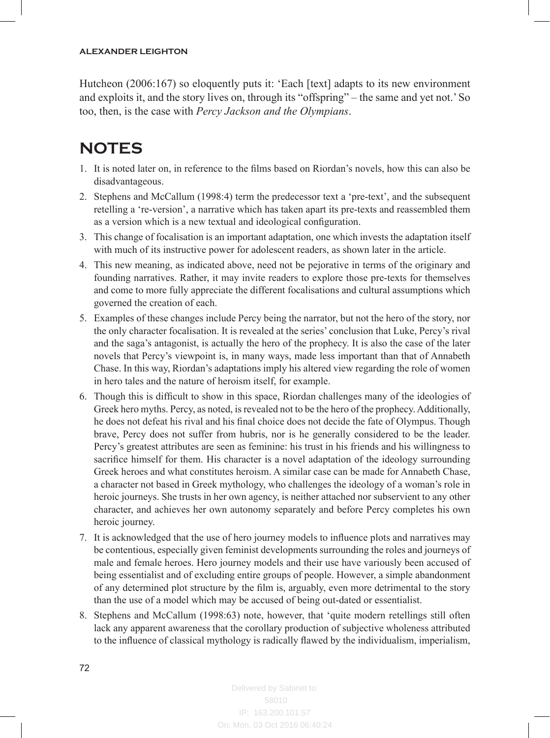Hutcheon (2006:167) so eloquently puts it: 'Each [text] adapts to its new environment and exploits it, and the story lives on, through its "offspring" – the same and yet not.' So too, then, is the case with *Percy Jackson and the Olympians*.

# **NOTES**

- 1. It is noted later on, in reference to the films based on Riordan's novels, how this can also be disadvantageous.
- 2. Stephens and McCallum (1998:4) term the predecessor text a 'pre-text', and the subsequent retelling a 're-version', a narrative which has taken apart its pre-texts and reassembled them as a version which is a new textual and ideological configuration.
- 3. This change of focalisation is an important adaptation, one which invests the adaptation itself with much of its instructive power for adolescent readers, as shown later in the article.
- 4. This new meaning, as indicated above, need not be pejorative in terms of the originary and founding narratives. Rather, it may invite readers to explore those pre-texts for themselves and come to more fully appreciate the different focalisations and cultural assumptions which governed the creation of each.
- 5. Examples of these changes include Percy being the narrator, but not the hero of the story, nor the only character focalisation. It is revealed at the series' conclusion that Luke, Percy's rival and the saga's antagonist, is actually the hero of the prophecy. It is also the case of the later novels that Percy's viewpoint is, in many ways, made less important than that of Annabeth Chase. In this way, Riordan's adaptations imply his altered view regarding the role of women in hero tales and the nature of heroism itself, for example.
- 6. Though this is difficult to show in this space, Riordan challenges many of the ideologies of Greek hero myths. Percy, as noted, is revealed not to be the hero of the prophecy. Additionally, he does not defeat his rival and his final choice does not decide the fate of Olympus. Though brave, Percy does not suffer from hubris, nor is he generally considered to be the leader. Percy's greatest attributes are seen as feminine: his trust in his friends and his willingness to sacrifice himself for them. His character is a novel adaptation of the ideology surrounding Greek heroes and what constitutes heroism. A similar case can be made for Annabeth Chase, a character not based in Greek mythology, who challenges the ideology of a woman's role in heroic journeys. She trusts in her own agency, is neither attached nor subservient to any other character, and achieves her own autonomy separately and before Percy completes his own heroic journey.
- 7. It is acknowledged that the use of hero journey models to influence plots and narratives may be contentious, especially given feminist developments surrounding the roles and journeys of male and female heroes. Hero journey models and their use have variously been accused of being essentialist and of excluding entire groups of people. However, a simple abandonment of any determined plot structure by the film is, arguably, even more detrimental to the story than the use of a model which may be accused of being out-dated or essentialist.
- 8. Stephens and McCallum (1998:63) note, however, that 'quite modern retellings still often lack any apparent awareness that the corollary production of subjective wholeness attributed to the influence of classical mythology is radically flawed by the individualism, imperialism,